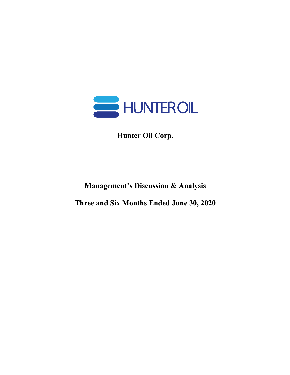

**Hunter Oil Corp.**

**Management's Discussion & Analysis**

**Three and Six Months Ended June 30, 2020**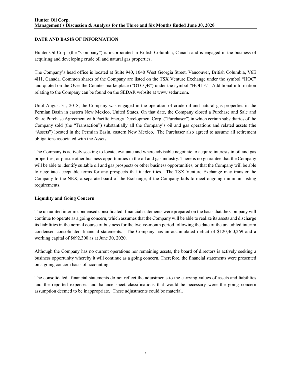# **DATE AND BASIS OF INFORMATION**

Hunter Oil Corp. (the "Company") is incorporated in British Columbia, Canada and is engaged in the business of acquiring and developing crude oil and natural gas properties.

The Company's head office is located at Suite 940, 1040 West Georgia Street, Vancouver, British Columbia, V6E 4H1, Canada. Common shares of the Company are listed on the TSX Venture Exchange under the symbol "HOC" and quoted on the Over the Counter marketplace ("OTCQB") under the symbol "HOILF." Additional information relating to the Company can be found on the SEDAR website at www.sedar.com.

Until August 31, 2018, the Company was engaged in the operation of crude oil and natural gas properties in the Permian Basin in eastern New Mexico, United States. On that date, the Company closed a Purchase and Sale and Share Purchase Agreement with Pacific Energy Development Corp. ("Purchaser") in which certain subsidiaries of the Company sold (the "Transaction") substantially all the Company's oil and gas operations and related assets (the "Assets") located in the Permian Basin, eastern New Mexico. The Purchaser also agreed to assume all retirement obligations associated with the Assets.

The Company is actively seeking to locate, evaluate and where advisable negotiate to acquire interests in oil and gas properties, or pursue other business opportunities in the oil and gas industry. There is no guarantee that the Company will be able to identify suitable oil and gas prospects or other business opportunities, or that the Company will be able to negotiate acceptable terms for any prospects that it identifies. The TSX Venture Exchange may transfer the Company to the NEX, a separate board of the Exchange, if the Company fails to meet ongoing minimum listing requirements.

# **Liquidity and Going Concern**

The unaudited interim condensed consolidated financial statements were prepared on the basis that the Company will continue to operate as a going concern, which assumes that the Company will be able to realize its assets and discharge its liabilities in the normal course of business for the twelve-month period following the date of the unaudited interim condensed consolidated financial statements. The Company has an accumulated deficit of \$120,460,269 and a working capital of \$692,300 as at June 30, 2020.

Although the Company has no current operations nor remaining assets, the board of directors is actively seeking a business opportunity whereby it will continue as a going concern. Therefore, the financial statements were presented on a going concern basis of accounting.

The consolidated financial statements do not reflect the adjustments to the carrying values of assets and liabilities and the reported expenses and balance sheet classifications that would be necessary were the going concern assumption deemed to be inappropriate. These adjustments could be material.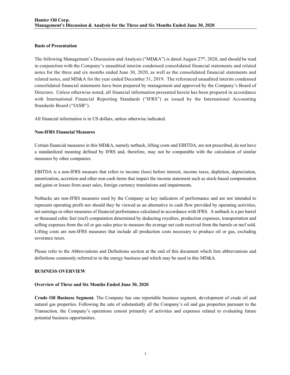#### **Basis of Presentation**

The following Management's Discussion and Analysis ("MD&A") is dated August 27<sup>th</sup>, 2020, and should be read in conjunction with the Company's unaudited interim condensed consolidated financial statements and related notes for the three and six months ended June 30, 2020, as well as the consolidated financial statements and related notes, and MD&A for the year ended December 31, 2019. The referenced unaudited interim condensed consolidated financial statements have been prepared by management and approved by the Company's Board of Directors. Unless otherwise noted, all financial information presented herein has been prepared in accordance with International Financial Reporting Standards ("IFRS") as issued by the International Accounting Standards Board ("IASB").

All financial information is in US dollars, unless otherwise indicated.

#### **Non-IFRS Financial Measures**

Certain financial measures in this MD&A, namely netback, lifting costs and EBITDA, are not prescribed, do not have a standardized meaning defined by IFRS and, therefore, may not be comparable with the calculation of similar measures by other companies.

EBITDA is a non-IFRS measure that refers to income (loss) before interest, income taxes, depletion, depreciation, amortization, accretion and other non-cash items that impact the income statement such as stock-based compensation and gains or losses from asset sales, foreign currency translations and impairments.

Netbacks are non-IFRS measures used by the Company as key indicators of performance and are not intended to represent operating profit nor should they be viewed as an alternative to cash flow provided by operating activities, net earnings or other measures of financial performance calculated in accordance with IFRS. A netback is a per barrel or thousand cubic feet (mcf) computation determined by deducting royalties, production expenses, transportation and selling expenses from the oil or gas sales price to measure the average net cash received from the barrels or mcf sold. Lifting costs are non-IFRS measures that include all production costs necessary to produce oil or gas, excluding severance taxes.

Please refer to the Abbreviations and Definitions section at the end of this document which lists abbreviations and definitions commonly referred to in the energy business and which may be used in this MD&A.

#### **BUSINESS OVERVIEW**

#### **Overview of Three and Six Months Ended June 30, 2020**

**Crude Oil Business Segment.** The Company has one reportable business segment, development of crude oil and natural gas properties. Following the sale of substantially all the Company's oil and gas properties pursuant to the Transaction, the Company's operations consist primarily of activities and expenses related to evaluating future potential business opportunities.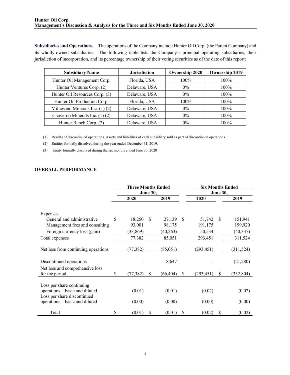**Subsidiaries and Operations.** The operations of the Company include Hunter Oil Corp. (the Parent Company) and its wholly-owned subsidiaries. The following table lists the Company's principal operating subsidiaries, their jurisdiction of incorporation, and its percentage ownership of their voting securities as of the date of this report:

| <b>Subsidiary Name</b>              | <b>Jurisdiction</b> | Ownership 2020 | <b>Ownership 2019</b> |
|-------------------------------------|---------------------|----------------|-----------------------|
| Hunter Oil Management Corp.         | Florida, USA        | $100\%$        | 100%                  |
| Hunter Ventures Corp. (2)           | Delaware, USA       | $0\%$          | 100%                  |
| Hunter Oil Resources Corp. (3)      | Delaware, USA       | $0\%$          | $100\%$               |
| Hunter Oil Production Corp.         | Florida, USA        | $100\%$        | 100%                  |
| Milnesand Minerals Inc. $(1)$ $(2)$ | Delaware, USA       | $0\%$          | $100\%$               |
| Chaveroo Minerals Inc. $(1)$ $(2)$  | Delaware, USA       | $0\%$          | $100\%$               |
| Hunter Ranch Corp. (2)              | Delaware, USA       | $0\%$          | $100\%$               |

(1) Results of discontinued operations. Assets and liabilities of each subsidiary sold as part of discontinued operations.

(2) Entities formally dissolved during the year ended December 31, 2019.

(3) Entity formally dissolved during the six months ended June 30, 2020

# **OVERALL PERFORMANCE**

|                                                               | <b>Three Months Ended</b><br><b>June 30,</b> |           |   |           | <b>Six Months Ended</b><br>June 30, |            |              |            |
|---------------------------------------------------------------|----------------------------------------------|-----------|---|-----------|-------------------------------------|------------|--------------|------------|
|                                                               |                                              | 2020      |   | 2019      |                                     | 2020       |              | 2019       |
| Expenses                                                      |                                              |           |   |           |                                     |            |              |            |
| General and administrative                                    | \$                                           | 18,250    | S | 27,139    | <sup>\$</sup>                       | 51,742     | -S           | 151,941    |
| Management fees and consulting                                |                                              | 93,001    |   | 98,175    |                                     | 191,175    |              | 199,920    |
| Foreign currency loss (gain)                                  |                                              | (33, 869) |   | (40,263)  |                                     | 50,534     |              | (40, 337)  |
| Total expenses                                                |                                              | 77,382    |   | 85,051    |                                     | 293,451    |              | 311,524    |
| Net loss from continuing operations                           |                                              | (77, 382) |   | (85,051)  |                                     | (293, 451) |              | (311, 524) |
| Discontinued operations                                       |                                              |           |   | 18,647    |                                     |            |              | (21,280)   |
| Net loss and comprehensive loss<br>for the period             | S                                            | (77, 382) | S | (66, 404) | S                                   | (293, 451) | <sup>S</sup> | (332, 804) |
| Loss per share continuing                                     |                                              |           |   |           |                                     |            |              |            |
| operations – basic and diluted                                |                                              | (0.01)    |   | (0.01)    |                                     | (0.02)     |              | (0.02)     |
| Loss per share discontinued<br>operations – basic and diluted |                                              | (0.00)    |   | (0.00)    |                                     | (0.00)     |              | (0.00)     |
| Total                                                         | \$                                           | (0.01)    | S | (0.01)    | S                                   | (0.02)     | S            | (0.02)     |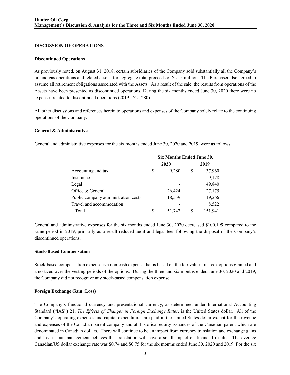#### **DISCUSSION OF OPERATIONS**

#### **Discontinued Operations**

As previously noted, on August 31, 2018, certain subsidiaries of the Company sold substantially all the Company's oil and gas operations and related assets, for aggregate total proceeds of \$21.5 million. The Purchaser also agreed to assume all retirement obligations associated with the Assets. As a result of the sale, the results from operations of the Assets have been presented as discontinued operations. During the six months ended June 30, 2020 there were no expenses related to discontinued operations (2019 - \$21,280).

All other discussions and references herein to operations and expenses of the Company solely relate to the continuing operations of the Company.

#### **General & Administrative**

General and administrative expenses for the six months ended June 30, 2020 and 2019, were as follows:

|                                     | Six Months Ended June 30, |        |   |         |  |  |
|-------------------------------------|---------------------------|--------|---|---------|--|--|
|                                     |                           | 2020   |   | 2019    |  |  |
| Accounting and tax                  | S                         | 9,280  | S | 37,960  |  |  |
| Insurance                           |                           |        |   | 9,178   |  |  |
| Legal                               |                           |        |   | 49,840  |  |  |
| Office & General                    |                           | 26,424 |   | 27,175  |  |  |
| Public company administration costs |                           | 18,539 |   | 19,266  |  |  |
| Travel and accommodation            |                           |        |   | 8,522   |  |  |
| Total                               | S                         | 51,742 |   | 151,941 |  |  |

General and administrative expenses for the six months ended June 30, 2020 decreased \$100,199 compared to the same period in 2019, primarily as a result reduced audit and legal fees following the disposal of the Company's discontinued operations.

#### **Stock-Based Compensation**

Stock-based compensation expense is a non-cash expense that is based on the fair values of stock options granted and amortized over the vesting periods of the options. During the three and six months ended June 30, 2020 and 2019, the Company did not recognize any stock-based compensation expense.

#### **Foreign Exchange Gain (Loss)**

The Company's functional currency and presentational currency, as determined under International Accounting Standard ("IAS") 21, *The Effects of Changes in Foreign Exchange Rates*, is the United States dollar. All of the Company's operating expenses and capital expenditures are paid in the United States dollar except for the revenue and expenses of the Canadian parent company and all historical equity issuances of the Canadian parent which are denominated in Canadian dollars. There will continue to be an impact from currency translation and exchange gains and losses, but management believes this translation will have a small impact on financial results. The average Canadian/US dollar exchange rate was \$0.74 and \$0.75 for the six months ended June 30, 2020 and 2019. For the six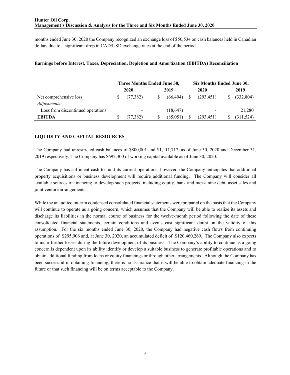months ended June 30, 2020 the Company recognized an exchange loss of \$50,534 on cash balances held in Canadian dollars due to a significant drop in CAD/USD exchange rates at the end of the period.

|                                        | Three Months Ended June 30, |                          |  |           |              | Six Months Ended June 30, |  |            |  |
|----------------------------------------|-----------------------------|--------------------------|--|-----------|--------------|---------------------------|--|------------|--|
|                                        |                             | 2020                     |  | 2019      |              | 2020                      |  | 2019       |  |
| Net comprehensive loss<br>Adjustments: |                             | (77, 382)                |  | (66, 404) | <sup>S</sup> | (293, 451)                |  | (332, 804) |  |
| Loss from discontinued operations      |                             | $\overline{\phantom{0}}$ |  | (18, 647) |              |                           |  | 21,280     |  |
| <b>EBITDA</b>                          |                             | (77,382)                 |  | (85,051)  |              | (293, 451)                |  | (311, 524) |  |

# **Earnings before Interest, Taxes, Depreciation, Depletion and Amortization (EBITDA) Reconciliation**

# **LIQUIDITY AND CAPITAL RESOURCES**

The Company had unrestricted cash balances of \$800,801 and \$1,111,717, as of June 30, 2020 and December 31, 2019 respectively. The Company has \$692,300 of working capital available as of June 30, 2020.

The Company has sufficient cash to fund its current operations; however, the Company anticipates that additional property acquisitions or business development will require additional funding. The Company will consider all available sources of financing to develop such projects, including equity, bank and mezzanine debt, asset sales and joint venture arrangements.

While the unaudited interim condensed consolidated financial statements were prepared on the basis that the Company will continue to operate as a going concern, which assumes that the Company will be able to realize its assets and discharge its liabilities in the normal course of business for the twelve-month period following the date of these consolidated financial statements, certain conditions and events cast significant doubt on the validity of this assumption. For the six months ended June 30, 2020, the Company had negative cash flows from continuing operations of \$295,906 and, at June 30, 2020, an accumulated deficit of \$120,460,269. The Company also expects to incur further losses during the future development of its business. The Company's ability to continue as a going concern is dependent upon its ability identify or develop a suitable business to generate profitable operations and to obtain additional funding from loans or equity financings or through other arrangements. Although the Company has been successful in obtaining financing, there is no assurance that it will be able to obtain adequate financing in the future or that such financing will be on terms acceptable to the Company.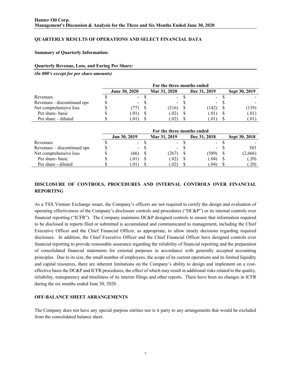# **QUARTERLY RESULTS OF OPERATIONS AND SELECT FINANCIAL DATA**

#### **Summary of Quarterly Information:**

#### **Quarterly Revenue, Loss, and Earing Per Share:**

*(In 000's except for per share amounts)*

|                             | For the three months ended |  |                |  |              |  |               |  |
|-----------------------------|----------------------------|--|----------------|--|--------------|--|---------------|--|
|                             | <b>June 30, 2020</b>       |  | Mar 31, 2020   |  | Dec 31, 2019 |  | Sept 30, 2019 |  |
| Revenues                    | $\sim$                     |  | $\blacksquare$ |  | $\sim$ $-$   |  |               |  |
| Revenues - discontinued ops | $\overline{\phantom{0}}$   |  | $\sim$         |  | $\sim$       |  |               |  |
| Net comprehensive loss      |                            |  | (216)          |  | (142)        |  | (139)         |  |
| Per share-basic             | .01)                       |  | (.02)          |  | (0.01)       |  | (.01)         |  |
| Per share $-$ diluted       | .01)                       |  | (0.02)         |  | .U H         |  | (.01)         |  |

|                             | For the three months ended |              |  |              |  |                  |  |               |
|-----------------------------|----------------------------|--------------|--|--------------|--|------------------|--|---------------|
|                             |                            | Jun 30, 2019 |  | Mar 31, 2019 |  | Dec 31, 2018     |  | Sept 30, 2018 |
| Revenues                    |                            | - 8          |  | $-$          |  | $\sim$ 100 $\mu$ |  |               |
| Revenues – discontinued ops |                            |              |  | $\sim$       |  | $\sim$           |  | 383           |
| Net comprehensive loss      |                            | (66)         |  | (267)        |  | (589)            |  | (2,666)       |
| Per share-basic             |                            | 0.01)        |  | (.02)        |  | (0.04)           |  | (.20)         |
| Per share - diluted         |                            | .011         |  | (02)         |  | .04)             |  | (.20)         |

# **DISCLOSURE OF CONTROLS, PROCEDURES AND INTERNAL CONTROLS OVER FINANCIAL REPORTING**

As a TSX Venture Exchange issuer, the Company's officers are not required to certify the design and evaluation of operating effectiveness of the Company's disclosure controls and procedures ("DC&P") or its internal controls over financial reporting ("ICFR"). The Company maintains DC&P designed controls to ensure that information required to be disclosed in reports filed or submitted is accumulated and communicated to management, including the Chief Executive Officer and the Chief Financial Officer, as appropriate, to allow timely decisions regarding required disclosure. In addition, the Chief Executive Officer and the Chief Financial Officer have designed controls over financial reporting to provide reasonable assurance regarding the reliability of financial reporting and the preparation of consolidated financial statements for external purposes in accordance with generally accepted accounting principles. Due to its size, the small number of employees, the scope of its current operations and its limited liquidity and capital resources, there are inherent limitations on the Company's ability to design and implement on a costeffective basis the DC&P and ICFR procedures, the effect of which may result in additional risks related to the quality, reliability, transparency and timeliness of its interim filings and other reports. There have been no changes in ICFR during the six months ended June 30, 2020.

#### **OFF-BALANCE SHEET ARRANGEMENTS**

The Company does not have any special purpose entities nor is it party to any arrangements that would be excluded from the consolidated balance sheet.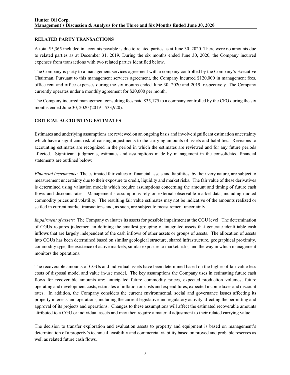## **RELATED PARTY TRANSACTIONS**

A total \$5,365 included in accounts payable is due to related parties as at June 30, 2020. There were no amounts due to related parties as at December 31, 2019. During the six months ended June 30, 2020, the Company incurred expenses from transactions with two related parties identified below.

The Company is party to a management services agreement with a company controlled by the Company's Executive Chairman. Pursuant to this management services agreement, the Company incurred \$120,000 in management fees, office rent and office expenses during the six months ended June 30, 2020 and 2019, respectively. The Company currently operates under a monthly agreement for \$20,000 per month.

The Company incurred management consulting fees paid \$35,175 to a company controlled by the CFO during the six months ended June 30, 2020 (2019 - \$33,920).

# **CRITICAL ACCOUNTING ESTIMATES**

Estimates and underlying assumptions are reviewed on an ongoing basis and involve significant estimation uncertainty which have a significant risk of causing adjustments to the carrying amounts of assets and liabilities. Revisions to accounting estimates are recognized in the period in which the estimates are reviewed and for any future periods affected. Significant judgments, estimates and assumptions made by management in the consolidated financial statements are outlined below:

*Financial instruments:* The estimated fair values of financial assets and liabilities, by their very nature, are subject to measurement uncertainty due to their exposure to credit, liquidity and market risks. The fair value of these derivatives is determined using valuation models which require assumptions concerning the amount and timing of future cash flows and discount rates. Management's assumptions rely on external observable market data, including quoted commodity prices and volatility. The resulting fair value estimates may not be indicative of the amounts realized or settled in current market transactions and, as such, are subject to measurement uncertainty.

*Impairment of assets:* The Company evaluates its assets for possible impairment at the CGU level. The determination of CGUs requires judgement in defining the smallest grouping of integrated assets that generate identifiable cash inflows that are largely independent of the cash inflows of other assets or groups of assets. The allocation of assets into CGUs has been determined based on similar geological structure, shared infrastructure, geographical proximity, commodity type, the existence of active markets, similar exposure to market risks, and the way in which management monitors the operations.

The recoverable amounts of CGUs and individual assets have been determined based on the higher of fair value less costs of disposal model and value in-use model. The key assumptions the Company uses in estimating future cash flows for recoverable amounts are: anticipated future commodity prices, expected production volumes, future operating and development costs, estimates of inflation on costs and expenditures, expected income taxes and discount rates. In addition, the Company considers the current environmental, social and governance issues affecting its property interests and operations, including the current legislative and regulatory activity affecting the permitting and approval of its projects and operations. Changes to these assumptions will affect the estimated recoverable amounts attributed to a CGU or individual assets and may then require a material adjustment to their related carrying value.

The decision to transfer exploration and evaluation assets to property and equipment is based on management's determination of a property's technical feasibility and commercial viability based on proved and probable reserves as well as related future cash flows.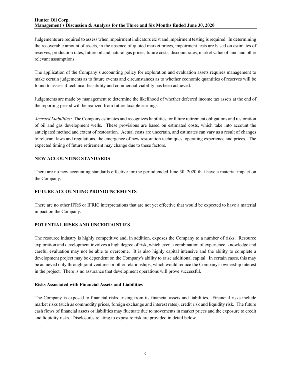Judgements are required to assess when impairment indicators exist and impairment testing is required. In determining the recoverable amount of assets, in the absence of quoted market prices, impairment tests are based on estimates of reserves, production rates, future oil and natural gas prices, future costs, discount rates, market value of land and other relevant assumptions.

The application of the Company's accounting policy for exploration and evaluation assets requires management to make certain judgements as to future events and circumstances as to whether economic quantities of reserves will be found to assess if technical feasibility and commercial viability has been achieved.

Judgements are made by management to determine the likelihood of whether deferred income tax assets at the end of the reporting period will be realized from future taxable earnings.

*Accrued Liabilities:* The Company estimates and recognizes liabilities for future retirement obligations and restoration of oil and gas development wells. These provisions are based on estimated costs, which take into account the anticipated method and extent of restoration. Actual costs are uncertain, and estimates can vary as a result of changes to relevant laws and regulations, the emergence of new restoration techniques, operating experience and prices. The expected timing of future retirement may change due to these factors.

## **NEW ACCOUNTING STANDARDS**

There are no new accounting standards effective for the period ended June 30, 2020 that have a material impact on the Company.

# **FUTURE ACCOUNTING PRONOUNCEMENTS**

There are no other IFRS or IFRIC interpretations that are not yet effective that would be expected to have a material impact on the Company.

# **POTENTIAL RISKS AND UNCERTAINTIES**

The resource industry is highly competitive and, in addition, exposes the Company to a number of risks. Resource exploration and development involves a high degree of risk, which even a combination of experience, knowledge and careful evaluation may not be able to overcome. It is also highly capital intensive and the ability to complete a development project may be dependent on the Company's ability to raise additional capital. In certain cases, this may be achieved only through joint ventures or other relationships, which would reduce the Company's ownership interest in the project. There is no assurance that development operations will prove successful.

#### **Risks Associated with Financial Assets and Liabilities**

The Company is exposed to financial risks arising from its financial assets and liabilities. Financial risks include market risks (such as commodity prices, foreign exchange and interest rates), credit risk and liquidity risk. The future cash flows of financial assets or liabilities may fluctuate due to movements in market prices and the exposure to credit and liquidity risks. Disclosures relating to exposure risk are provided in detail below.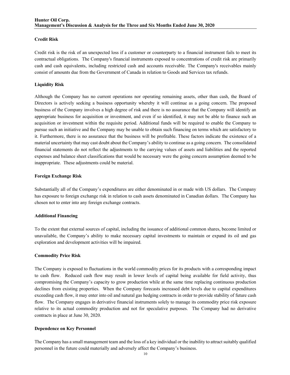## **Credit Risk**

Credit risk is the risk of an unexpected loss if a customer or counterparty to a financial instrument fails to meet its contractual obligations. The Company's financial instruments exposed to concentrations of credit risk are primarily cash and cash equivalents, including restricted cash and accounts receivable. The Company's receivables mainly consist of amounts due from the Government of Canada in relation to Goods and Services tax refunds.

### **Liquidity Risk**

Although the Company has no current operations nor operating remaining assets, other than cash, the Board of Directors is actively seeking a business opportunity whereby it will continue as a going concern. The proposed business of the Company involves a high degree of risk and there is no assurance that the Company will identify an appropriate business for acquisition or investment, and even if so identified, it may not be able to finance such an acquisition or investment within the requisite period. Additional funds will be required to enable the Company to pursue such an initiative and the Company may be unable to obtain such financing on terms which are satisfactory to it. Furthermore, there is no assurance that the business will be profitable. These factors indicate the existence of a material uncertainty that may cast doubt about the Company's ability to continue as a going concern. The consolidated financial statements do not reflect the adjustments to the carrying values of assets and liabilities and the reported expenses and balance sheet classifications that would be necessary were the going concern assumption deemed to be inappropriate. These adjustments could be material.

## **Foreign Exchange Risk**

Substantially all of the Company's expenditures are either denominated in or made with US dollars. The Company has exposure to foreign exchange risk in relation to cash assets denominated in Canadian dollars. The Company has chosen not to enter into any foreign exchange contracts.

#### **Additional Financing**

To the extent that external sources of capital, including the issuance of additional common shares, become limited or unavailable, the Company's ability to make necessary capital investments to maintain or expand its oil and gas exploration and development activities will be impaired.

#### **Commodity Price Risk**

The Company is exposed to fluctuations in the world commodity prices for its products with a corresponding impact to cash flow. Reduced cash flow may result in lower levels of capital being available for field activity, thus compromising the Company's capacity to grow production while at the same time replacing continuous production declines from existing properties. When the Company forecasts increased debt levels due to capital expenditures exceeding cash flow, it may enter into oil and natural gas hedging contracts in order to provide stability of future cash flow. The Company engages in derivative financial instruments solely to manage its commodity price risk exposure relative to its actual commodity production and not for speculative purposes. The Company had no derivative contracts in place at June 30, 2020.

#### **Dependence on Key Personnel**

The Company has a small management team and the loss of a key individual or the inability to attract suitably qualified personnel in the future could materially and adversely affect the Company's business.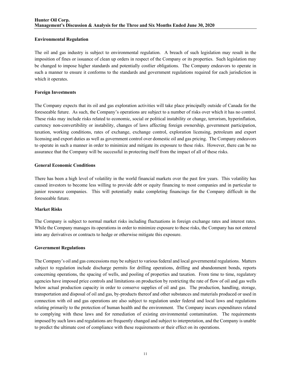## **Environmental Regulation**

The oil and gas industry is subject to environmental regulation. A breach of such legislation may result in the imposition of fines or issuance of clean up orders in respect of the Company or its properties. Such legislation may be changed to impose higher standards and potentially costlier obligations. The Company endeavors to operate in such a manner to ensure it conforms to the standards and government regulations required for each jurisdiction in which it operates.

## **Foreign Investments**

The Company expects that its oil and gas exploration activities will take place principally outside of Canada for the foreseeable future. As such, the Company's operations are subject to a number of risks over which it has no control. These risks may include risks related to economic, social or political instability or change, terrorism, hyperinflation, currency non-convertibility or instability, changes of laws affecting foreign ownership, government participation, taxation, working conditions, rates of exchange, exchange control, exploration licensing, petroleum and export licensing and export duties as well as government control over domestic oil and gas pricing. The Company endeavors to operate in such a manner in order to minimize and mitigate its exposure to these risks. However, there can be no assurance that the Company will be successful in protecting itself from the impact of all of these risks.

## **General Economic Conditions**

There has been a high level of volatility in the world financial markets over the past few years. This volatility has caused investors to become less willing to provide debt or equity financing to most companies and in particular to junior resource companies. This will potentially make completing financings for the Company difficult in the foreseeable future.

#### **Market Risks**

The Company is subject to normal market risks including fluctuations in foreign exchange rates and interest rates. While the Company manages its operations in order to minimize exposure to these risks, the Company has not entered into any derivatives or contracts to hedge or otherwise mitigate this exposure.

#### **Government Regulations**

The Company's oil and gas concessions may be subject to various federal and local governmental regulations. Matters subject to regulation include discharge permits for drilling operations, drilling and abandonment bonds, reports concerning operations, the spacing of wells, and pooling of properties and taxation. From time to time, regulatory agencies have imposed price controls and limitations on production by restricting the rate of flow of oil and gas wells below actual production capacity in order to conserve supplies of oil and gas. The production, handling, storage, transportation and disposal of oil and gas, by-products thereof and other substances and materials produced or used in connection with oil and gas operations are also subject to regulation under federal and local laws and regulations relating primarily to the protection of human health and the environment. The Company incurs expenditures related to complying with these laws and for remediation of existing environmental contamination. The requirements imposed by such laws and regulations are frequently changed and subject to interpretation, and the Company is unable to predict the ultimate cost of compliance with these requirements or their effect on its operations.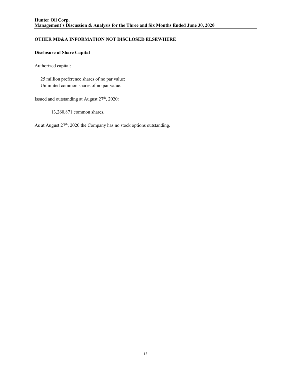# **OTHER MD&A INFORMATION NOT DISCLOSED ELSEWHERE**

# **Disclosure of Share Capital**

Authorized capital:

 25 million preference shares of no par value; Unlimited common shares of no par value.

Issued and outstanding at August 27<sup>th</sup>, 2020:

13,260,871 common shares.

As at August 27<sup>th</sup>, 2020 the Company has no stock options outstanding.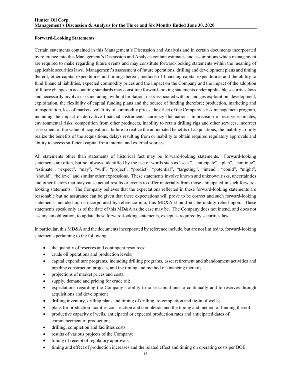#### **Forward-Looking Statements**

Certain statements contained in this Management's Discussion and Analysis and in certain documents incorporated by reference into this Management's Discussion and Analysis contain estimates and assumptions which management are required to make regarding future events and may constitute forward-looking statements within the meaning of applicable securities laws. Management's assessment of future operations, drilling and development plans and timing thereof, other capital expenditures and timing thereof, methods of financing capital expenditures and the ability to fund financial liabilities, expected commodity prices and the impact on the Company and the impact of the adoption of future changes in accounting standards may constitute forward-looking statements under applicable securities laws and necessarily involve risks including, without limitation, risks associated with oil and gas exploration, development, exploitation, the flexibility of capital funding plans and the source of funding therefore; production, marketing and transportation, loss of markets, volatility of commodity prices, the effect of the Company's risk management program, including the impact of derivative financial instruments; currency fluctuations, imprecision of reserve estimates, environmental risks, competition from other producers, inability to retain drilling rigs and other services, incorrect assessment of the value of acquisitions, failure to realize the anticipated benefits of acquisitions, the inability to fully realize the benefits of the acquisitions, delays resulting from or inability to obtain required regulatory approvals and ability to access sufficient capital from internal and external sources.

All statements other than statements of historical fact may be forward-looking statements. Forward-looking statements are often, but not always, identified by the use of words such as "seek", "anticipate", "plan", "continue", "estimate", "expect", "may", "will", "project", "predict", "potential", "targeting", "intend", "could", "might", "should", "believe" and similar other expressions. These statements involve known and unknown risks, uncertainties and other factors that may cause actual results or events to differ materially from those anticipated in such forwardlooking statements. The Company believes that the expectations reflected in these forward-looking statements are reasonable but no assurance can be given that these expectations will prove to be correct and such forward-looking statements included in, or incorporated by reference into, this MD&A should not be unduly relied upon. These statements speak only as of the date of this MD&A as the case may be. The Company does not intend, and does not assume an obligation, to update these forward-looking statements, except as required by securities law.

In particular, this MD&A and the documents incorporated by reference include, but are not limited to, forward-looking statements pertaining to the following:

- the quantity of reserves and contingent resources;
- crude oil operations and production levels;
- capital expenditure programs, including drilling programs, asset retirement and abandonment activities and pipeline construction projects, and the timing and method of financing thereof;
- projections of market prices and costs;
- supply, demand and pricing for crude oil;
- expectations regarding the Company's ability to raise capital and to continually add to reserves through acquisitions and development
- drilling inventory, drilling plans and timing of drilling, re-completion and tie-in of wells;
- plans for production facilities construction and completion and the timing and method of funding thereof;
- productive capacity of wells, anticipated or expected production rates and anticipated dates of commencement of production;
- drilling, completion and facilities costs;
- results of various projects of the Company;
- timing of receipt of regulatory approvals;
- timing and effect of production increases and the related effect and timing on operating costs per BOE;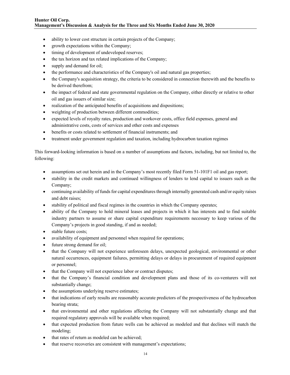- ability to lower cost structure in certain projects of the Company;
- growth expectations within the Company;
- timing of development of undeveloped reserves;
- the tax horizon and tax related implications of the Company;
- supply and demand for oil;
- the performance and characteristics of the Company's oil and natural gas properties;
- the Company's acquisition strategy, the criteria to be considered in connection therewith and the benefits to be derived therefrom;
- the impact of federal and state governmental regulation on the Company, either directly or relative to other oil and gas issuers of similar size;
- realization of the anticipated benefits of acquisitions and dispositions;
- weighting of production between different commodities;
- expected levels of royalty rates, production and workover costs, office field expenses, general and administrative costs, costs of services and other costs and expenses
- benefits or costs related to settlement of financial instruments; and
- treatment under government regulation and taxation, including hydrocarbon taxation regimes

This forward-looking information is based on a number of assumptions and factors, including, but not limited to, the following:

- assumptions set out herein and in the Company's most recently filed Form 51-101F1 oil and gas report;
- stability in the credit markets and continued willingness of lenders to lend capital to issuers such as the Company;
- continuing availability of funds for capital expenditures through internally generated cash and/or equity raises and debt raises;
- stability of political and fiscal regimes in the countries in which the Company operates;
- ability of the Company to hold mineral leases and projects in which it has interests and to find suitable industry partners to assume or share capital expenditure requirements necessary to keep various of the Company's projects in good standing, if and as needed;
- stable future costs;
- availability of equipment and personnel when required for operations;
- future strong demand for oil;
- that the Company will not experience unforeseen delays, unexpected geological, environmental or other natural occurrences, equipment failures, permitting delays or delays in procurement of required equipment or personnel;
- that the Company will not experience labor or contract disputes;
- that the Company's financial condition and development plans and those of its co-venturers will not substantially change;
- the assumptions underlying reserve estimates;
- that indications of early results are reasonably accurate predictors of the prospectiveness of the hydrocarbon bearing strata;
- that environmental and other regulations affecting the Company will not substantially change and that required regulatory approvals will be available when required;
- that expected production from future wells can be achieved as modeled and that declines will match the modeling;
- that rates of return as modeled can be achieved;
- that reserve recoveries are consistent with management's expectations;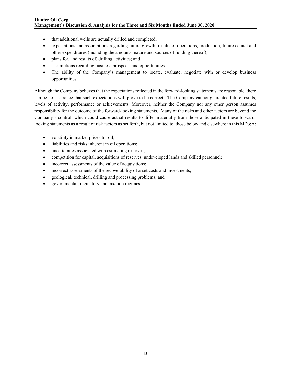- that additional wells are actually drilled and completed;
- expectations and assumptions regarding future growth, results of operations, production, future capital and other expenditures (including the amounts, nature and sources of funding thereof);
- plans for, and results of, drilling activities; and
- assumptions regarding business prospects and opportunities.
- The ability of the Company's management to locate, evaluate, negotiate with or develop business opportunities.

Although the Company believes that the expectations reflected in the forward-looking statements are reasonable, there can be no assurance that such expectations will prove to be correct. The Company cannot guarantee future results, levels of activity, performance or achievements. Moreover, neither the Company nor any other person assumes responsibility for the outcome of the forward-looking statements. Many of the risks and other factors are beyond the Company's control, which could cause actual results to differ materially from those anticipated in these forwardlooking statements as a result of risk factors as set forth, but not limited to, those below and elsewhere in this MD&A:

- volatility in market prices for oil;
- liabilities and risks inherent in oil operations;
- uncertainties associated with estimating reserves;
- competition for capital, acquisitions of reserves, undeveloped lands and skilled personnel;
- incorrect assessments of the value of acquisitions;
- incorrect assessments of the recoverability of asset costs and investments;
- geological, technical, drilling and processing problems; and
- governmental, regulatory and taxation regimes.